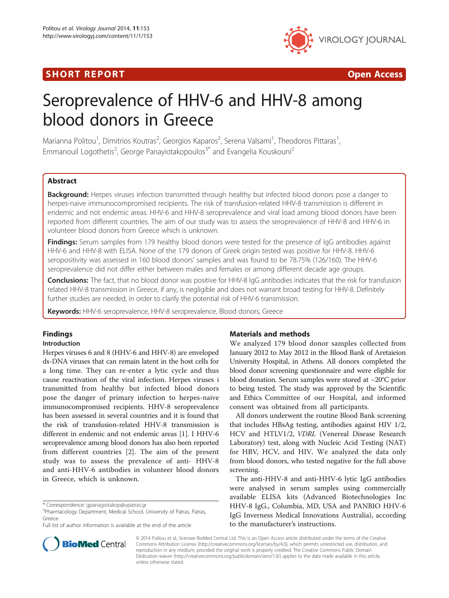# **SHORT REPORT CONSUMING THE SHORT CONSUMING THE CONSUMING THE CONSUMING THE CONSUMING THE CONSUMING THE CONSUMING T**



# Seroprevalence of HHV-6 and HHV-8 among blood donors in Greece

Marianna Politou<sup>1</sup>, Dimitrios Koutras<sup>2</sup>, Georgios Kaparos<sup>2</sup>, Serena Valsami<sup>1</sup>, Theodoros Pittaras<sup>1</sup> , Emmanouil Logothetis<sup>2</sup>, George Panayiotakopoulos<sup>3\*</sup> and Evangelia Kouskouni<sup>2</sup>

## Abstract

Background: Herpes viruses infection transmitted through healthy but infected blood donors pose a danger to herpes-naive immunocompromised recipients. The risk of transfusion-related HHV-8 transmission is different in endemic and not endemic areas. HHV-6 and HHV-8 seroprevalence and viral load among blood donors have been reported from different countries. The aim of our study was to assess the seroprevalence of HHV-8 and HHV-6 in volunteer blood donors from Greece which is unknown.

Findings: Serum samples from 179 healthy blood donors were tested for the presence of IgG antibodies against HHV-6 and HHV-8 with ELISA. None of the 179 donors of Greek origin tested was positive for HHV-8. HHV-6 seropositivity was assessed in 160 blood donors' samples and was found to be 78.75% (126/160). The HHV-6 seroprevalence did not differ either between males and females or among different decade age groups.

Conclusions: The fact, that no blood donor was positive for HHV-8 IgG antibodies indicates that the risk for transfusion related HHV-8 transmission in Greece, if any, is negligible and does not warrant broad testing for HHV-8. Definitely further studies are needed, in order to clarify the potential risk of HHV-6 transmission.

Keywords: HHV-6 seroprevalence, HHV-8 seroprevalence, Blood donors, Greece

# Findings

#### Introduction

Herpes viruses 6 and 8 (HHV-6 and HHV-8) are enveloped ds-DNA viruses that can remain latent in the host cells for a long time. They can re-enter a lytic cycle and thus cause reactivation of the viral infection. Herpes viruses i transmitted from healthy but infected blood donors pose the danger of primary infection to herpes-naive immunocompromised recipients. HHV-8 seroprevalence has been assessed in several countries and it is found that the risk of transfusion-related HHV-8 transmission is different in endemic and not endemic areas [\[1\]](#page-2-0). I HHV-6 seroprevalence among blood donors has also been reported from different countries [[2](#page-2-0)]. The aim of the present study was to assess the prevalence of anti- HHV-8 and anti-HHV-6 antibodies in volunteer blood donors in Greece, which is unknown.

### Materials and methods

We analyzed 179 blood donor samples collected from January 2012 to May 2012 in the Blood Bank of Aretaieion University Hospital, in Athens. All donors completed the blood donor screening questionnaire and were eligible for blood donation. Serum samples were stored at −20°C prior to being tested. The study was approved by the Scientific and Ethics Committee of our Hospital, and informed consent was obtained from all participants.

All donors underwent the routine Blood Bank screening that includes HBsAg testing, antibodies against HIV 1/2, HCV and HTLV1/2, VDRL (Venereal Disease Research Laboratory) test, along with Nucleic Acid Testing (NAT) for HBV, HCV, and HIV. We analyzed the data only from blood donors, who tested negative for the full above screening.

The anti-HHV-8 and anti-HHV-6 lytic IgG antibodies were analysed in serum samples using commercially available ELISA kits (Advanced Biotechnologies Inc HHV-8 IgG., Columbia, MD, USA and PANBIO HHV-6 IgG Inverness Medical Innovations Australia), according to the manufacturer's instructions.



© 2014 Politou et al.; licensee BioMed Central Ltd. This is an Open Access article distributed under the terms of the Creative Commons Attribution License [\(http://creativecommons.org/licenses/by/4.0\)](http://creativecommons.org/licenses/by/4.0), which permits unrestricted use, distribution, and reproduction in any medium, provided the original work is properly credited. The Creative Commons Public Domain Dedication waiver [\(http://creativecommons.org/publicdomain/zero/1.0/](http://creativecommons.org/publicdomain/zero/1.0/)) applies to the data made available in this article, unless otherwise stated.

<sup>\*</sup> Correspondence: [gpanagiotakop@upatras.gr](mailto:gpanagiotakop@upatras.gr) <sup>3</sup>

<sup>&</sup>lt;sup>3</sup>Pharmacology Department, Medical School, University of Patras, Patras, Greece

Full list of author information is available at the end of the article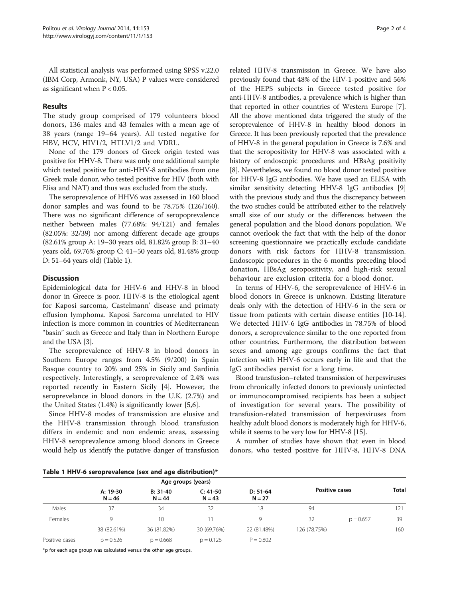All statistical analysis was performed using SPSS v.22.0 (IBM Corp, Armonk, NY, USA) P values were considered as significant when  $P < 0.05$ .

#### Results

The study group comprised of 179 volunteers blood donors, 136 males and 43 females with a mean age of 38 years (range 19–64 years). All tested negative for HBV, HCV, HIV1/2, HTLV1/2 and VDRL.

None of the 179 donors of Greek origin tested was positive for HHV-8. There was only one additional sample which tested positive for anti-HHV-8 antibodies from one Greek male donor, who tested positive for HIV (both with Elisa and NAT) and thus was excluded from the study.

The seroprevalence of HHV6 was assessed in 160 blood donor samples and was found to be 78.75% (126/160). There was no significant difference of seropoprevalence neither between males (77.68%: 94/121) and females (82.05%: 32/39) nor among different decade age groups (82.61% group A: 19–30 years old, 81.82% group B: 31–40 years old, 69.76% group C: 41–50 years old, 81.48% group D: 51–64 years old) (Table 1).

#### **Discussion**

Epidemiological data for HHV-6 and HHV-8 in blood donor in Greece is poor. HHV-8 is the etiological agent for Kaposi sarcoma, Castelmann' disease and primaty effusion lymphoma. Kaposi Sarcoma unrelated to HIV infection is more common in countries of Mediterranean "basin" such as Greece and Italy than in Northern Europe and the USA [[3\]](#page-2-0).

The seroprevalence of HHV-8 in blood donors in Southern Europe ranges from 4.5% (9/200) in Spain Basque country to 20% and 25% in Sicily and Sardinia respectively. Interestingly, a seroprevalence of 2.4% was reported recently in Eastern Sicily [\[4](#page-2-0)]. However, the seroprevelance in blood donors in the U.K. (2.7%) and the United States (1.4%) is significantly lower [\[5,6\]](#page-2-0).

Since HHV-8 modes of transmission are elusive and the HHV-8 transmission through blood transfusion differs in endemic and non endemic areas, assessing HHV-8 seroprevalence among blood donors in Greece would help us identify the putative danger of transfusion

related HHV-8 transmission in Greece. We have also previously found that 48% of the HIV-1-positive and 56% of the HEPS subjects in Greece tested positive for anti-HHV-8 antibodies, a prevalence which is higher than that reported in other countries of Western Europe [[7](#page-2-0)]. All the above mentioned data triggered the study of the seroprevalence of HHV-8 in healthy blood donors in Greece. It has been previously reported that the prevalence of HHV-8 in the general population in Greece is 7.6% and that the seropositivity for HHV-8 was associated with a history of endoscopic procedures and HBsAg positivity [[8\]](#page-2-0). Nevertheless, we found no blood donor tested positive for HHV-8 IgG antibodies. We have used an ELISA with similar sensitivity detecting HHV-8 IgG antibodies [[9](#page-2-0)] with the previous study and thus the discrepancy between the two studies could be attributed either to the relatively small size of our study or the differences between the general population and the blood donors population. We cannot overlook the fact that with the help of the donor screening questionnaire we practically exclude candidate donors with risk factors for HHV-8 transmission. Endoscopic procedures in the 6 months preceding blood donation, HBsAg seropositivity, and high-risk sexual behaviour are exclusion criteria for a blood donor.

In terms of HHV-6, the seroprevalence of HHV-6 in blood donors in Greece is unknown. Existing literature deals only with the detection of HHV-6 in the sera or tissue from patients with certain disease entities [[10](#page-2-0)-[14](#page-2-0)]. We detected HHV-6 IgG antibodies in 78.75% of blood donors, a seroprevalence similar to the one reported from other countries. Furthermore, the distribution between sexes and among age groups confirms the fact that infection with HHV-6 occurs early in life and that the IgG antibodies persist for a long time.

Blood transfusion–related transmission of herpesviruses from chronically infected donors to previously uninfected or immunocompromised recipients has been a subject of investigation for several years. The possibility of transfusion-related transmission of herpesviruses from healthy adult blood donors is moderately high for HHV-6, while it seems to be very low for HHV-8 [\[15\]](#page-2-0).

A number of studies have shown that even in blood donors, who tested positive for HHV-8, HHV-8 DNA

Table 1 HHV-6 seroprevalence (sex and age distribution)\*

|                | Age groups (years)   |                        |                        |                        |                       |             |              |  |
|----------------|----------------------|------------------------|------------------------|------------------------|-----------------------|-------------|--------------|--|
|                | A: 19-30<br>$N = 46$ | $B: 31-40$<br>$N = 44$ | $C: 41-50$<br>$N = 43$ | $D: 51-64$<br>$N = 27$ | <b>Positive cases</b> |             | <b>Total</b> |  |
| Males          | 37                   | 34                     | 32                     | 18                     | 94                    |             | 121          |  |
| Females        | 9                    | 10 <sup>°</sup>        | 11                     | 9                      | 32                    | $p = 0.657$ | 39           |  |
|                | 38 (82.61%)          | 36 (81.82%)            | 30 (69.76%)            | 22 (81.48%)            | 126 (78.75%)          |             | 160          |  |
| Positive cases | $p = 0.526$          | $p = 0.668$            | $p = 0.126$            | $P = 0.802$            |                       |             |              |  |

\*p for each age group was calculated versus the other age groups.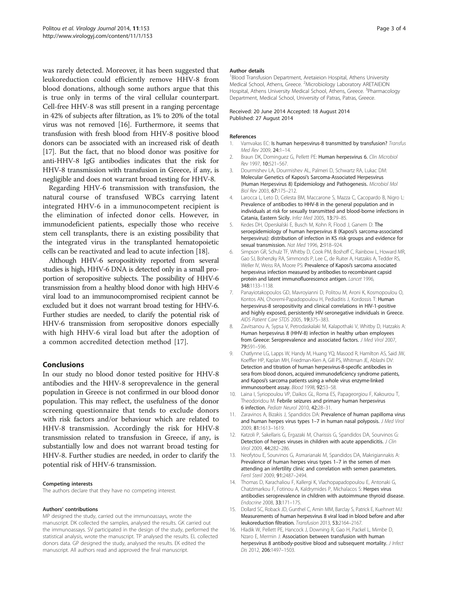<span id="page-2-0"></span>was rarely detected. Moreover, it has been suggested that leukoreduction could efficiently remove HHV-8 from blood donations, although some authors argue that this is true only in terms of the viral cellular counterpart. Cell-free HHV-8 was still present in a ranging percentage in 42% of subjects after filtration, as 1% to 20% of the total virus was not removed [16]. Furthermore, it seems that transfusion with fresh blood from HHV-8 positive blood donors can be associated with an increased risk of death [[17](#page-3-0)]. But the fact, that no blood donor was positive for anti-HHV-8 IgG antibodies indicates that the risk for HHV-8 transmission with transfusion in Greece, if any, is negligible and does not warrant broad testing for HHV-8.

Regarding HHV-6 transmission with transfusion, the natural course of transfused WBCs carrying latent integrated HHV-6 in a immunocompetent recipient is the elimination of infected donor cells. However, in immunodeficient patients, especially those who receive stem cell transplants, there is an existing possibility that the integrated virus in the transplanted hematopoietic cells can be reactivated and lead to acute infection [[18\]](#page-3-0).

Although HHV-6 seropositivity reported from several studies is high, HHV-6 DNA is detected only in a small proportion of seropositive subjects. The possibility of HHV-6 transmission from a healthy blood donor with high HHV-6 viral load to an immunocompromised recipient cannot be excluded but it does not warrant broad testing for HHV-6. Further studies are needed, to clarify the potential risk of HHV-6 transmission from seropositive donors especially with high HHV-6 viral load but after the adoption of a common accredited detection method [\[17](#page-3-0)].

#### Conclusions

In our study no blood donor tested positive for HHV-8 antibodies and the HHV-8 seroprevalence in the general population in Greece is not confirmed in our blood donor population. This may reflect, the usefulness of the donor screening questionnaire that tends to exclude donors with risk factors and/or behaviour which are related to HHV-8 transmission. Accordingly the risk for HHV-8 transmission related to transfusion in Greece, if any, is substantially low and does not warrant broad testing for HHV-8. Further studies are needed, in order to clarify the potential risk of HHV-6 transmission.

#### Competing interests

The authors declare that they have no competing interest.

#### Authors' contributions

MP designed the study, carried out the immunoassays, wrote the manuscript. DK collected the samples, analysed the results. GK carried out the immunoassays. SV participated in the design of the study, performed the statistical analysis, wrote the manuscript. TP analysed the results. EL collected donors data. GP designed the study, analysed the results. EK edited the manuscript. All authors read and approved the final manuscript.

#### Author details

<sup>1</sup>Blood Transfusion Department, Aretaieion Hospital, Athens University Medical School, Athens, Greece. <sup>2</sup>Microbiology Laboratory ARETAIEION Hospital, Athens University Medical School, Athens, Greece. <sup>3</sup>Pharmacology Department, Medical School, University of Patras, Patras, Greece.

#### Received: 20 June 2014 Accepted: 18 August 2014 Published: 27 August 2014

#### References

- 1. Vamvakas EC: Is human herpesvirus-8 transmitted by transfusion? Transfus Med Rev 2009, 24:1–14.
- 2. Braun DK, Dominguez G, Pellett PE: Human herpesvirus 6. Clin Microbiol Rev 1997, 10:521–567.
- 3. Dourmishev LA, Dourmishev AL, Palmeri D, Schwartz RA, Lukac DM: Molecular Genetics of Kaposi's Sarcoma-Associated Herpesvirus (Human Herpesvirus 8) Epidemiology and Pathogenesis. Microbiol Mol Biol Rev 2003, 67:175–212.
- 4. Larocca L, Leto D, Celesta BM, Maccarone S, Mazza C, Cacopardo B, Nigro L: Prevalence of antibodies to HHV-8 in the general population and in individuals at risk for sexually transmitted and blood-borne infections in Catania, Eastern Sicily. Infez Med 2005, 13:79–85.
- 5. Kedes DH, Operskalski E, Busch M, Kohn R, Flood J, Ganem D: The seroepidemiology of human herpesvirus 8 (Kaposi's sarcoma-associated herpesvirus): distribution of infection in KS risk groups and evidence for sexual transmission. Nat Med 1996, 2:918–924.
- 6. Simpson GR, Schulz TF, Whitby D, Cook PM, Boshoff C, Rainbow L, Howard MR, Gao SJ, Bohenzky RA, Simmonds P, Lee C, de Ruiter A, Hatzakis A, Tedder RS, Weller IV, Weiss RA, Moore PS: Prevalence of Kaposi's sarcoma associated herpesvirus infection measured by antibodies to recombinant capsid protein and latent immunofluorescence antigen. Lancet 1996, 348:1133–1138.
- 7. Panayiotakopoulos GD, Mavroyianni D, Politou M, Aroni K, Kosmopoulou O, Kontos AN, Choremi-Papadopoulou H, Pediaditis J, Kordossis T: Human herpesvirus-8 seropositivity and clinical correlations in HIV-1-positive and highly exposed, persistently HIV-seronegative individuals in Greece. AIDS Patient Care STDS 2005, 19:375–383.
- 8. Zavitsanou A, Sypsa V, Petrodaskalaki M, Kalapothaki V, Whitby D, Hatzakis A: Human herpesvirus 8 (HHV-8) infection in healthy urban employees from Greece: Seroprevalence and associated factors. J Med Virol 2007, 79:591–596.
- 9. Chatlynne LG, Lapps W, Handy M, Huang YQ, Masood R, Hamilton AS, Said JW, Koeffler HP, Kaplan MH, Friedman-Kien A, Gill PS, Whitman JE, Ablashi DV: Detection and titration of human herpesvirus-8-specific antibodies in sera from blood donors, acquired immunodeficiency syndrome patients, and Kaposi's sarcoma patients using a whole virus enzyme-linked immunosorbent assay. Blood 1998, 92:53–58.
- 10. Laina I, Syriopoulou VP, Daikos GL, Roma ES, Papageorgiou F, Kakourou T, Theodoridou M: Febrile seizures and primary human herpesvirus 6 infection. Pediatr Neurol 2010, 42:28–31.
- 11. Zaravinos A, Bizakis J, Spandidos DA: Prevalence of human papilloma virus and human herpes virus types 1–7 in human nasal polyposis. J Med Virol 2009, 81:1613–1619.
- 12. Katzoli P, Sakellaris G, Ergazaki M, Charissis G, Spandidos DA, Sourvinos G: Detection of herpes viruses in children with acute appendicitis. J Clin Virol 2009, 44:282–286.
- 13. Neofytou E, Sourvinos G, Asmarianaki M, Spandidos DA, Makrigiannakis A: Prevalence of human herpes virus types 1–7 in the semen of men attending an infertility clinic and correlation with semen parameters. Fertil Steril 2009, 91:2487–2494.
- 14. Thomas D, Karachaliou F, Kallergi K, Vlachopapadopoulou E, Antonaki G, Chatzimarkou F, Fotinou A, Kaldrymides P, Michalacos S: Herpes virus antibodies seroprevalence in children with autoimmune thyroid disease. Endocrine 2008, 33:171–175.
- 15. Dollard SC, Roback JD, Gunthel C, Amin MM, Barclay S, Patrick E, Kuehnert MJ: Measurements of human herpesvirus 8 viral load in blood before and after leukoreduction filtration. Transfusion 2013, 53:2164–2167.
- 16. Hladik W, Pellett PE, Hancock J, Downing R, Gao H, Packel L, Mimbe D, Nzaro E, Mermin J: Association between transfusion with human herpesvirus 8 antibody-positive blood and subsequent mortality. J Infect Dis 2012, 206:1497–1503.